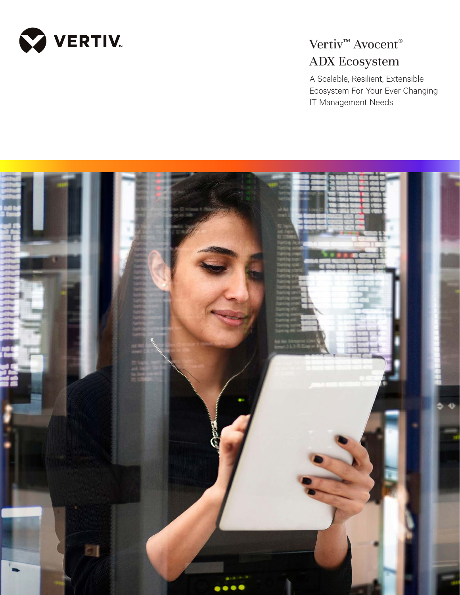

# Vertiv<sup>™</sup> Avocent<sup>®</sup> ADX Ecosystem

A Scalable, Resilient, Extensible Ecosystem For Your Ever Changing IT Management Needs

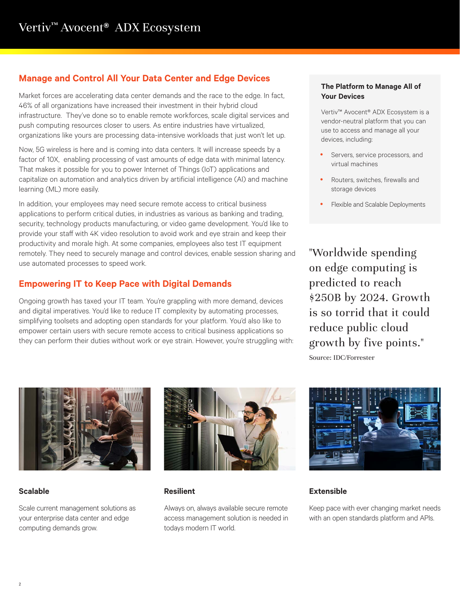# **Manage and Control All Your Data Center and Edge Devices**

Market forces are accelerating data center demands and the race to the edge. In fact, 46% of all organizations have increased their investment in their hybrid cloud infrastructure. They've done so to enable remote workforces, scale digital services and push computing resources closer to users. As entire industries have virtualized, organizations like yours are processing data-intensive workloads that just won't let up.

Now, 5G wireless is here and is coming into data centers. It will increase speeds by a factor of 10X, enabling processing of vast amounts of edge data with minimal latency. That makes it possible for you to power Internet of Things (IoT) applications and capitalize on automation and analytics driven by artificial intelligence (AI) and machine learning (ML) more easily.

In addition, your employees may need secure remote access to critical business applications to perform critical duties, in industries as various as banking and trading, security, technology products manufacturing, or video game development. You'd like to provide your staff with 4K video resolution to avoid work and eye strain and keep their productivity and morale high. At some companies, employees also test IT equipment remotely. They need to securely manage and control devices, enable session sharing and use automated processes to speed work.

# **Empowering IT to Keep Pace with Digital Demands**

Ongoing growth has taxed your IT team. You're grappling with more demand, devices and digital imperatives. You'd like to reduce IT complexity by automating processes, simplifying toolsets and adopting open standards for your platform. You'd also like to empower certain users with secure remote access to critical business applications so they can perform their duties without work or eye strain. However, you're struggling with:

#### **The Platform to Manage All of Your Devices**

Vertiv™ Avocent® ADX Ecosystem is a vendor-neutral platform that you can use to access and manage all your devices, including:

- Servers, service processors, and virtual machines
- Routers, switches, firewalls and storage devices
- Flexible and Scalable Deployments

"Worldwide spending on edge computing is predicted to reach \$250B by 2024. Growth is so torrid that it could reduce public cloud growth by five points." Source: IDC/Forrester



## **Scalable**

Scale current management solutions as your enterprise data center and edge computing demands grow.



#### **Resilient**

Always on, always available secure remote access management solution is needed in todays modern IT world.



## **Extensible**

Keep pace with ever changing market needs with an open standards platform and APIs.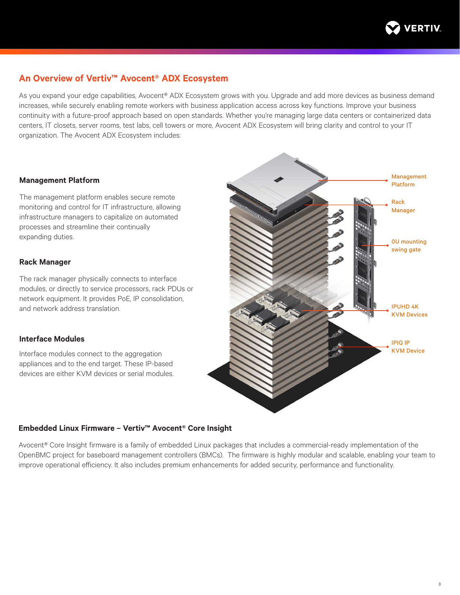

## **An Overview of Vertiv™ Avocent® ADX Ecosystem**

As you expand your edge capabilities, Avocent® ADX Ecosystem grows with you. Upgrade and add more devices as business demand increases, while securely enabling remote workers with business application access across key functions. Improve your business continuity with a future-proof approach based on open standards. Whether you're managing large data centers or containerized data centers, IT closets, server rooms, test labs, cell towers or more, Avocent ADX Ecosystem will bring clarity and control to your IT organization. The Avocent ADX Ecosystem includes:

#### **Management Platform**

The management platform enables secure remote monitoring and control for IT infrastructure, allowing infrastructure managers to capitalize on automated processes and streamline their continually expanding duties.

#### **Rack Manager**

The rack manager physically connects to interface modules, or directly to service processors, rack PDUs or network equipment. It provides PoE, IP consolidation, and network address translation.

### **Interface Modules**

Interface modules connect to the aggregation appliances and to the end target. These IP-based devices are either KVM devices or serial modules.



#### **Embedded Linux Firmware – Vertiv™ Avocent® Core Insight**

Avocent® Core Insight firmware is a family of embedded Linux packages that includes a commercial-ready implementation of the OpenBMC project for baseboard management controllers (BMCs). The firmware is highly modular and scalable, enabling your team to improve operational efficiency. It also includes premium enhancements for added security, performance and functionality.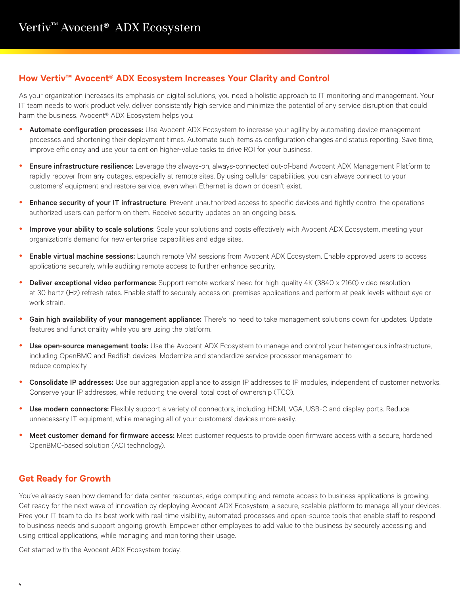## **How Vertiv™ Avocent® ADX Ecosystem Increases Your Clarity and Control**

As your organization increases its emphasis on digital solutions, you need a holistic approach to IT monitoring and management. Your IT team needs to work productively, deliver consistently high service and minimize the potential of any service disruption that could harm the business. Avocent<sup>®</sup> ADX Ecosystem helps you:

- Automate configuration processes: Use Avocent ADX Ecosystem to increase your agility by automating device management processes and shortening their deployment times. Automate such items as configuration changes and status reporting. Save time, improve efficiency and use your talent on higher-value tasks to drive ROI for your business.
- **Ensure infrastructure resilience:** Leverage the always-on, always-connected out-of-band Avocent ADX Management Platform to rapidly recover from any outages, especially at remote sites. By using cellular capabilities, you can always connect to your customers' equipment and restore service, even when Ethernet is down or doesn't exist.
- Enhance security of your IT infrastructure: Prevent unauthorized access to specific devices and tightly control the operations authorized users can perform on them. Receive security updates on an ongoing basis.
- Improve your ability to scale solutions: Scale your solutions and costs effectively with Avocent ADX Ecosystem, meeting your organization's demand for new enterprise capabilities and edge sites.
- **Enable virtual machine sessions:** Launch remote VM sessions from Avocent ADX Ecosystem. Enable approved users to access applications securely, while auditing remote access to further enhance security.
- Deliver exceptional video performance: Support remote workers' need for high-quality 4K (3840 x 2160) video resolution at 30 hertz (Hz) refresh rates. Enable staff to securely access on-premises applications and perform at peak levels without eye or work strain.
- Gain high availability of your management appliance: There's no need to take management solutions down for updates. Update features and functionality while you are using the platform.
- Use open-source management tools: Use the Avocent ADX Ecosystem to manage and control your heterogenous infrastructure, including OpenBMC and Redfish devices. Modernize and standardize service processor management to reduce complexity.
- Consolidate IP addresses: Use our aggregation appliance to assign IP addresses to IP modules, independent of customer networks. Conserve your IP addresses, while reducing the overall total cost of ownership (TCO).
- Use modern connectors: Flexibly support a variety of connectors, including HDMI, VGA, USB-C and display ports. Reduce unnecessary IT equipment, while managing all of your customers' devices more easily.
- Meet customer demand for firmware access: Meet customer requests to provide open firmware access with a secure, hardened OpenBMC-based solution (ACI technology).

# **Get Ready for Growth**

You've already seen how demand for data center resources, edge computing and remote access to business applications is growing. Get ready for the next wave of innovation by deploying Avocent ADX Ecosystem, a secure, scalable platform to manage all your devices. Free your IT team to do its best work with real-time visibility, automated processes and open-source tools that enable staff to respond to business needs and support ongoing growth. Empower other employees to add value to the business by securely accessing and using critical applications, while managing and monitoring their usage.

Get started with the Avocent ADX Ecosystem today.